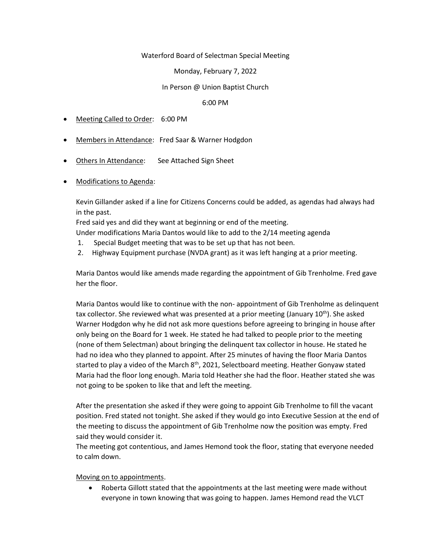### Waterford Board of Selectman Special Meeting

## Monday, February 7, 2022

# In Person @ Union Baptist Church

### 6:00 PM

- Meeting Called to Order: 6:00 PM
- Members in Attendance: Fred Saar & Warner Hodgdon
- Others In Attendance: See Attached Sign Sheet
- Modifications to Agenda:

Kevin Gillander asked if a line for Citizens Concerns could be added, as agendas had always had in the past.

Fred said yes and did they want at beginning or end of the meeting.

Under modifications Maria Dantos would like to add to the 2/14 meeting agenda

- 1. Special Budget meeting that was to be set up that has not been.
- 2. Highway Equipment purchase (NVDA grant) as it was left hanging at a prior meeting.

Maria Dantos would like amends made regarding the appointment of Gib Trenholme. Fred gave her the floor.

Maria Dantos would like to continue with the non- appointment of Gib Trenholme as delinquent tax collector. She reviewed what was presented at a prior meeting (January  $10^{th}$ ). She asked Warner Hodgdon why he did not ask more questions before agreeing to bringing in house after only being on the Board for 1 week. He stated he had talked to people prior to the meeting (none of them Selectman) about bringing the delinquent tax collector in house. He stated he had no idea who they planned to appoint. After 25 minutes of having the floor Maria Dantos started to play a video of the March 8<sup>th</sup>, 2021, Selectboard meeting. Heather Gonyaw stated Maria had the floor long enough. Maria told Heather she had the floor. Heather stated she was not going to be spoken to like that and left the meeting.

After the presentation she asked if they were going to appoint Gib Trenholme to fill the vacant position. Fred stated not tonight. She asked if they would go into Executive Session at the end of the meeting to discuss the appointment of Gib Trenholme now the position was empty. Fred said they would consider it.

The meeting got contentious, and James Hemond took the floor, stating that everyone needed to calm down.

### Moving on to appointments.

• Roberta Gillott stated that the appointments at the last meeting were made without everyone in town knowing that was going to happen. James Hemond read the VLCT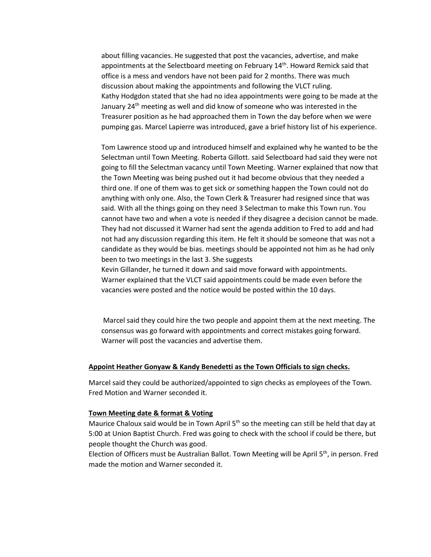about filling vacancies. He suggested that post the vacancies, advertise, and make appointments at the Selectboard meeting on February 14<sup>th</sup>. Howard Remick said that office is a mess and vendors have not been paid for 2 months. There was much discussion about making the appointments and following the VLCT ruling. Kathy Hodgdon stated that she had no idea appointments were going to be made at the January 24th meeting as well and did know of someone who was interested in the Treasurer position as he had approached them in Town the day before when we were pumping gas. Marcel Lapierre was introduced, gave a brief history list of his experience.

Tom Lawrence stood up and introduced himself and explained why he wanted to be the Selectman until Town Meeting. Roberta Gillott. said Selectboard had said they were not going to fill the Selectman vacancy until Town Meeting. Warner explained that now that the Town Meeting was being pushed out it had become obvious that they needed a third one. If one of them was to get sick or something happen the Town could not do anything with only one. Also, the Town Clerk & Treasurer had resigned since that was said. With all the things going on they need 3 Selectman to make this Town run. You cannot have two and when a vote is needed if they disagree a decision cannot be made. They had not discussed it Warner had sent the agenda addition to Fred to add and had not had any discussion regarding this item. He felt it should be someone that was not a candidate as they would be bias. meetings should be appointed not him as he had only been to two meetings in the last 3. She suggests

Kevin Gillander, he turned it down and said move forward with appointments. Warner explained that the VLCT said appointments could be made even before the vacancies were posted and the notice would be posted within the 10 days.

Marcel said they could hire the two people and appoint them at the next meeting. The consensus was go forward with appointments and correct mistakes going forward. Warner will post the vacancies and advertise them.

#### **Appoint Heather Gonyaw & Kandy Benedetti as the Town Officials to sign checks.**

Marcel said they could be authorized/appointed to sign checks as employees of the Town. Fred Motion and Warner seconded it.

### **Town Meeting date & format & Voting**

Maurice Chaloux said would be in Town April 5<sup>th</sup> so the meeting can still be held that day at 5:00 at Union Baptist Church. Fred was going to check with the school if could be there, but people thought the Church was good.

Election of Officers must be Australian Ballot. Town Meeting will be April 5th, in person. Fred made the motion and Warner seconded it.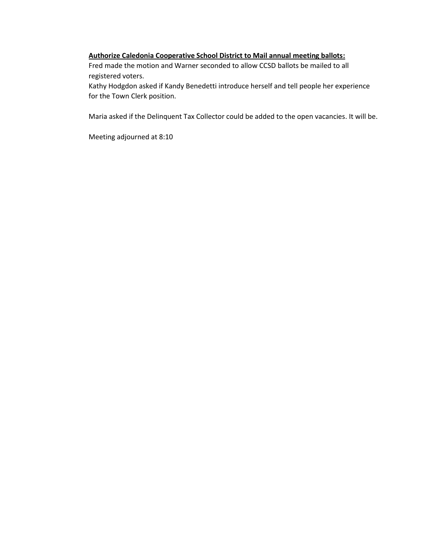#### **Authorize Caledonia Cooperative School District to Mail annual meeting ballots:**

Fred made the motion and Warner seconded to allow CCSD ballots be mailed to all registered voters.

Kathy Hodgdon asked if Kandy Benedetti introduce herself and tell people her experience for the Town Clerk position.

Maria asked if the Delinquent Tax Collector could be added to the open vacancies. It will be.

Meeting adjourned at 8:10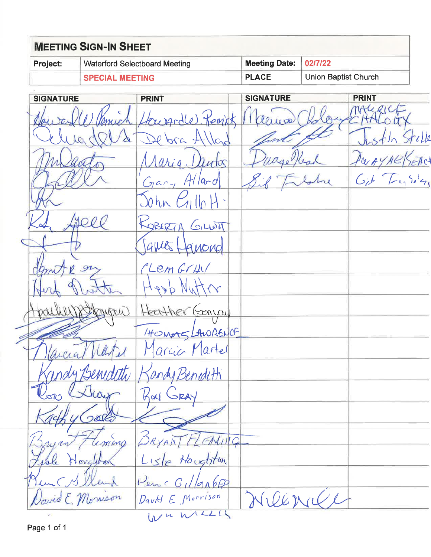| <b>MEETING SIGN-IN SHEET</b> |                                      |                                     |                      |  |  |  |  |
|------------------------------|--------------------------------------|-------------------------------------|----------------------|--|--|--|--|
| <b>Project:</b>              | <b>Waterford Selectboard Meeting</b> | Meeting Date: $\vert 02/7/22 \vert$ |                      |  |  |  |  |
|                              | <b>SPECIAL MEETING</b>               | <b>PLACE</b>                        | Union Baptist Church |  |  |  |  |

**SIGNATURE PRINT SIGNATURE PRINT** MALLICE Llourgodle Remick  $\sqrt{80}$  $1000$  $bra + b$  $\overline{\mathcal{L}}$  $\lambda_{C_{\alpha}}$ nutos  $A$ *hi* $a$ . Gar, Alland  $Gib - Ferba'g$  $20hR$   $C_1$ llo Jeel KOBERTA GILLOTT ames AMONO LemGrHV mt  $\mathcal{P}$ Heather Gonyw HOMMS LAWRENCE arcia Martel andy Benedith  $750$ *MMMM.* GRA Kay Josk  $IC_2$ iena Lisle Houghton isle Novely Penc G1  $tanhFE$ Willenry Javid E. Monison David E Morrison WUWKLIS

Page 1 of 1